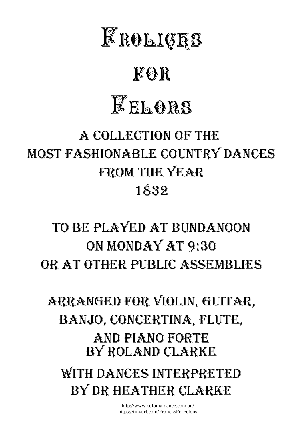

## *for*

# *Felons*

### A COLLECTION OF THE MOST FASHIONABLE COUNTRY DANCES FROM THE YEAR 1832

### TO BE PLAYED AT BUNDANOON ON MONDAY AT 9:30 OR AT OTHER PUBLIC ASSEMBLIES

#### WITH DANCES INTERPRETED BY ROLAND CLARKE ARRANGED FOR VIOLIN, GUITAR, BANJO, CONCERTINA, FLUTE, AND PIANO FORTE

BY DR HEATHER CLARKE

http://www.colonialdance.com.au/ https://tinyurl.com/FrolicksForFelons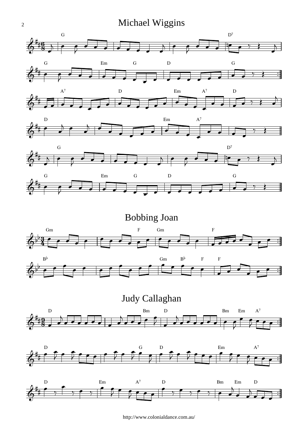#### Michael Wiggins









<u>3</u>  $\frac{3}{4}$ Bobbing Joan  $\flat$ Gm  $\overline{\phantom{a}}$  $\overline{\phantom{0}}$  $\bullet$ F  $\cdot$  , Gm  $\overline{\bullet}$  $\bullet$   $\bullet$   $\bullet$   $\bullet$  $\overline{\phantom{0}}$ F  $\overline{\phantom{a}}$  $\overline{\phantom{a}}$  $\overline{\bullet}$  $\overline{\bullet}$   $\mathbf{b}$  $B<sub>p</sub>$  $\overline{\bullet}$  $\overline{\bullet}$  $\bullet$  $\overline{\bullet}$  $\overline{\phantom{a}}$  $\overline{\phantom{0}}$  $\overline{\phantom{a}}$  $\overline{\bullet}$ Gm  $\overline{\bullet}$  $\overline{\phantom{a}}$  $B<sup>\rho</sup>$ ╅╧ F  $\begin{array}{ccc} \cdot & \cdot & \cdot \\ \hline \cdot & \cdot & \cdot \\ \hline \end{array}$ F  $\overline{\phantom{a}}$  $\overline{\phantom{a}}$  $\overline{\phantom{a}}$  $\overline{\phantom{a}}$  $\overline{\bullet}$  $\overline{\bullet}$ 

 $\frac{9}{2}$  $\frac{9}{8}$ Judy Callaghan  $6$   $^{+8}$  , deceed , dece decidence of fee: i.  $\sharp$ D  $\overline{\phantom{a}}$  $\overline{\phantom{a}}$  $\overline{a}$  $\overrightarrow{1}$  $\overline{\phantom{a}}$  $\overline{a}$ Bm  $\overline{\phantom{a}}$  $\overline{\phantom{a}}$ D  $\mathbf{R}$  $\frac{1}{2}$  $\overline{\phantom{a}}$  $\overline{a}$  $\overline{\phantom{a}}$ Bm  $\overline{\phantom{a}}$ Em  $\overline{\bullet}$  $\bar{z}$  $\overline{\phantom{a}}$  $A^7$  $\overline{\mathbf{f}}$ ₹  $\overline{\phantom{a}}$ 





http://www.colonialdance.com.au/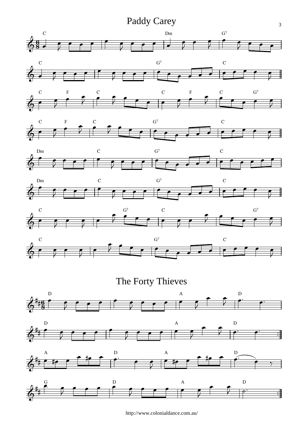Paddy Carey

















The Forty Thieves







http://www.colonialdance.com.au/